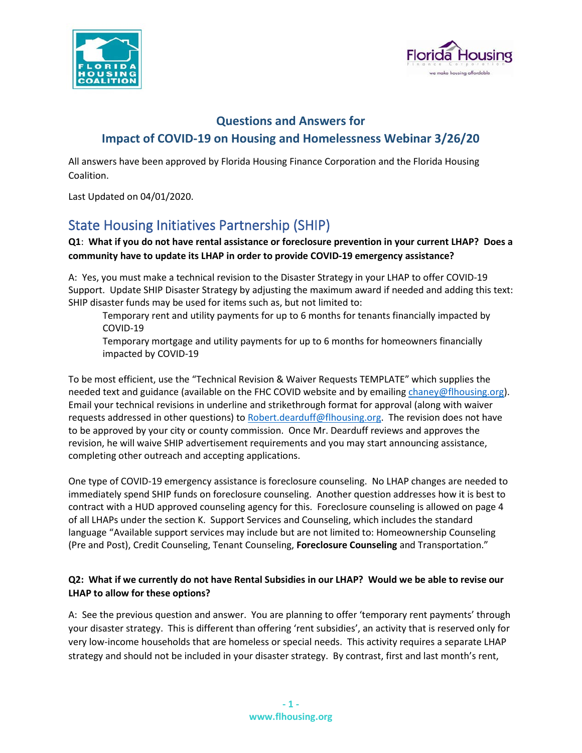



# **Questions and Answers for Impact of COVID-19 on Housing and Homelessness Webinar 3/26/20**

All answers have been approved by Florida Housing Finance Corporation and the Florida Housing Coalition.

Last Updated on 04/01/2020.

# State Housing Initiatives Partnership (SHIP)

## **Q1**: **What if you do not have rental assistance or foreclosure prevention in your current LHAP? Does a community have to update its LHAP in order to provide COVID-19 emergency assistance?**

A: Yes, you must make a technical revision to the Disaster Strategy in your LHAP to offer COVID-19 Support. Update SHIP Disaster Strategy by adjusting the maximum award if needed and adding this text: SHIP disaster funds may be used for items such as, but not limited to:

Temporary rent and utility payments for up to 6 months for tenants financially impacted by COVID-19

Temporary mortgage and utility payments for up to 6 months for homeowners financially impacted by COVID-19

To be most efficient, use the "Technical Revision & Waiver Requests TEMPLATE" which supplies the needed text and guidance (available on the FHC COVID website and by emailing [chaney@flhousing.org\)](mailto:chaney@flhousing.org). Email your technical revisions in underline and strikethrough format for approval (along with waiver requests addressed in other questions) t[o Robert.dearduff@flhousing.org.](mailto:Robert.dearduff@flhousing.org) The revision does not have to be approved by your city or county commission. Once Mr. Dearduff reviews and approves the revision, he will waive SHIP advertisement requirements and you may start announcing assistance, completing other outreach and accepting applications.

One type of COVID-19 emergency assistance is foreclosure counseling. No LHAP changes are needed to immediately spend SHIP funds on foreclosure counseling. Another question addresses how it is best to contract with a HUD approved counseling agency for this. Foreclosure counseling is allowed on page 4 of all LHAPs under the section K. Support Services and Counseling, which includes the standard language "Available support services may include but are not limited to: Homeownership Counseling (Pre and Post), Credit Counseling, Tenant Counseling, **Foreclosure Counseling** and Transportation."

### **Q2: What if we currently do not have Rental Subsidies in our LHAP? Would we be able to revise our LHAP to allow for these options?**

A: See the previous question and answer. You are planning to offer 'temporary rent payments' through your disaster strategy. This is different than offering 'rent subsidies', an activity that is reserved only for very low-income households that are homeless or special needs. This activity requires a separate LHAP strategy and should not be included in your disaster strategy. By contrast, first and last month's rent,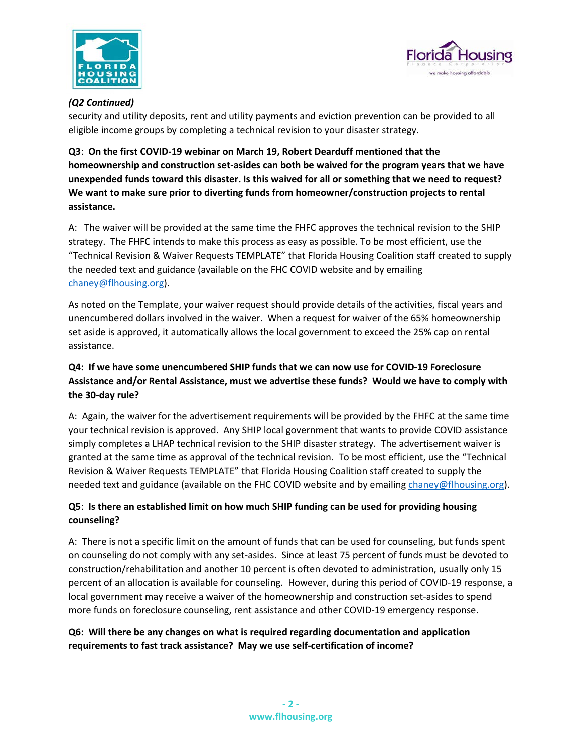



#### *(Q2 Continued)*

security and utility deposits, rent and utility payments and eviction prevention can be provided to all eligible income groups by completing a technical revision to your disaster strategy.

**Q3**: **On the first COVID-19 webinar on March 19, Robert Dearduff mentioned that the homeownership and construction set-asides can both be waived for the program years that we have unexpended funds toward this disaster. Is this waived for all or something that we need to request? We want to make sure prior to diverting funds from homeowner/construction projects to rental assistance.** 

A: The waiver will be provided at the same time the FHFC approves the technical revision to the SHIP strategy. The FHFC intends to make this process as easy as possible. To be most efficient, use the "Technical Revision & Waiver Requests TEMPLATE" that Florida Housing Coalition staff created to supply the needed text and guidance (available on the FHC COVID website and by emailing [chaney@flhousing.org\)](mailto:chaney@flhousing.org).

As noted on the Template, your waiver request should provide details of the activities, fiscal years and unencumbered dollars involved in the waiver. When a request for waiver of the 65% homeownership set aside is approved, it automatically allows the local government to exceed the 25% cap on rental assistance.

## **Q4: If we have some unencumbered SHIP funds that we can now use for COVID-19 Foreclosure Assistance and/or Rental Assistance, must we advertise these funds? Would we have to comply with the 30-day rule?**

A: Again, the waiver for the advertisement requirements will be provided by the FHFC at the same time your technical revision is approved. Any SHIP local government that wants to provide COVID assistance simply completes a LHAP technical revision to the SHIP disaster strategy. The advertisement waiver is granted at the same time as approval of the technical revision. To be most efficient, use the "Technical Revision & Waiver Requests TEMPLATE" that Florida Housing Coalition staff created to supply the needed text and guidance (available on the FHC COVID website and by emailing [chaney@flhousing.org\)](mailto:chaney@flhousing.org).

### **Q5**: **Is there an established limit on how much SHIP funding can be used for providing housing counseling?**

A: There is not a specific limit on the amount of funds that can be used for counseling, but funds spent on counseling do not comply with any set-asides. Since at least 75 percent of funds must be devoted to construction/rehabilitation and another 10 percent is often devoted to administration, usually only 15 percent of an allocation is available for counseling. However, during this period of COVID-19 response, a local government may receive a waiver of the homeownership and construction set-asides to spend more funds on foreclosure counseling, rent assistance and other COVID-19 emergency response.

# **Q6: Will there be any changes on what is required regarding documentation and application requirements to fast track assistance? May we use self-certification of income?**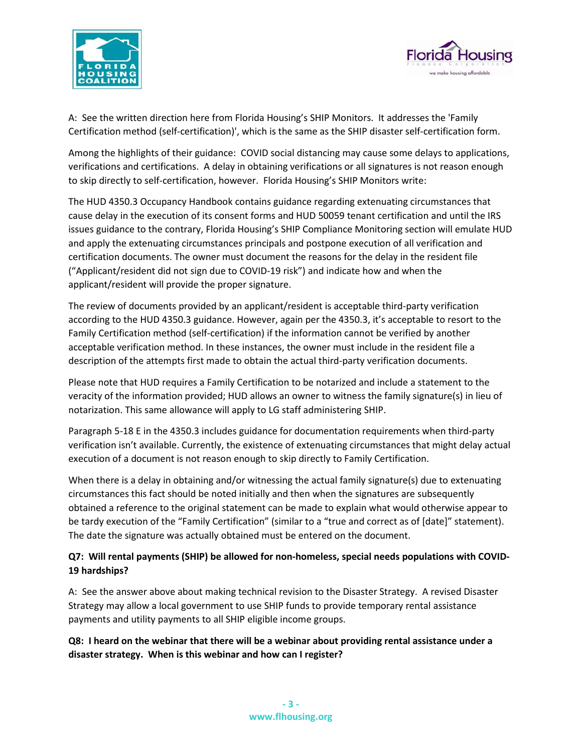



A: See the written direction here from Florida Housing's SHIP Monitors. It addresses the 'Family Certification method (self-certification)', which is the same as the SHIP disaster self-certification form.

Among the highlights of their guidance: COVID social distancing may cause some delays to applications, verifications and certifications. A delay in obtaining verifications or all signatures is not reason enough to skip directly to self-certification, however. Florida Housing's SHIP Monitors write:

The HUD 4350.3 Occupancy Handbook contains guidance regarding extenuating circumstances that cause delay in the execution of its consent forms and HUD 50059 tenant certification and until the IRS issues guidance to the contrary, Florida Housing's SHIP Compliance Monitoring section will emulate HUD and apply the extenuating circumstances principals and postpone execution of all verification and certification documents. The owner must document the reasons for the delay in the resident file ("Applicant/resident did not sign due to COVID-19 risk") and indicate how and when the applicant/resident will provide the proper signature.

The review of documents provided by an applicant/resident is acceptable third-party verification according to the HUD 4350.3 guidance. However, again per the 4350.3, it's acceptable to resort to the Family Certification method (self-certification) if the information cannot be verified by another acceptable verification method. In these instances, the owner must include in the resident file a description of the attempts first made to obtain the actual third-party verification documents.

Please note that HUD requires a Family Certification to be notarized and include a statement to the veracity of the information provided; HUD allows an owner to witness the family signature(s) in lieu of notarization. This same allowance will apply to LG staff administering SHIP.

Paragraph 5-18 E in the 4350.3 includes guidance for documentation requirements when third-party verification isn't available. Currently, the existence of extenuating circumstances that might delay actual execution of a document is not reason enough to skip directly to Family Certification.

When there is a delay in obtaining and/or witnessing the actual family signature(s) due to extenuating circumstances this fact should be noted initially and then when the signatures are subsequently obtained a reference to the original statement can be made to explain what would otherwise appear to be tardy execution of the "Family Certification" (similar to a "true and correct as of [date]" statement). The date the signature was actually obtained must be entered on the document.

### **Q7: Will rental payments (SHIP) be allowed for non-homeless, special needs populations with COVID-19 hardships?**

A: See the answer above about making technical revision to the Disaster Strategy. A revised Disaster Strategy may allow a local government to use SHIP funds to provide temporary rental assistance payments and utility payments to all SHIP eligible income groups.

# **Q8: I heard on the webinar that there will be a webinar about providing rental assistance under a disaster strategy. When is this webinar and how can I register?**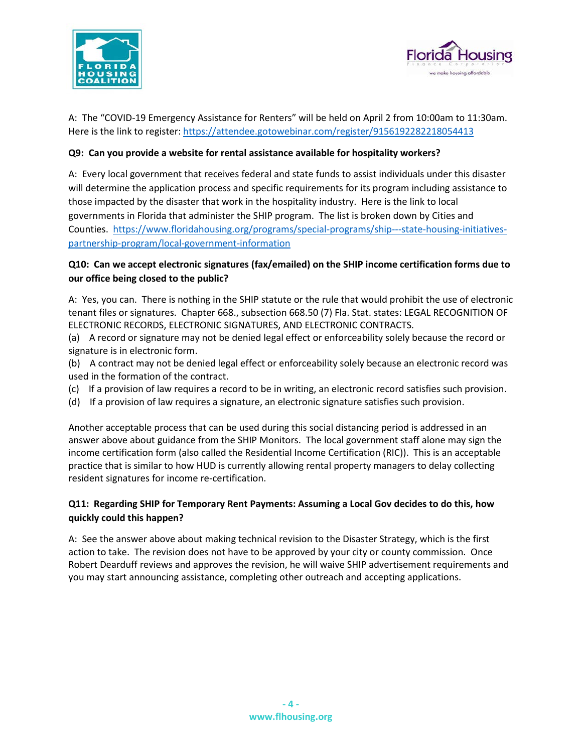



A: The "COVID-19 Emergency Assistance for Renters" will be held on April 2 from 10:00am to 11:30am. Here is the link to register:<https://attendee.gotowebinar.com/register/9156192282218054413>

#### **Q9: Can you provide a website for rental assistance available for hospitality workers?**

A: Every local government that receives federal and state funds to assist individuals under this disaster will determine the application process and specific requirements for its program including assistance to those impacted by the disaster that work in the hospitality industry. Here is the link to local governments in Florida that administer the SHIP program. The list is broken down by Cities and Counties. [https://www.floridahousing.org/programs/special-programs/ship---state-housing-initiatives](https://www.floridahousing.org/programs/special-programs/ship---state-housing-initiatives-partnership-program/local-government-information)[partnership-program/local-government-information](https://www.floridahousing.org/programs/special-programs/ship---state-housing-initiatives-partnership-program/local-government-information)

#### **Q10: Can we accept electronic signatures (fax/emailed) on the SHIP income certification forms due to our office being closed to the public?**

A: Yes, you can. There is nothing in the SHIP statute or the rule that would prohibit the use of electronic tenant files or signatures. Chapter 668., subsection 668.50 (7) Fla. Stat. states: LEGAL RECOGNITION OF ELECTRONIC RECORDS, ELECTRONIC SIGNATURES, AND ELECTRONIC CONTRACTS.

(a) A record or signature may not be denied legal effect or enforceability solely because the record or signature is in electronic form.

(b) A contract may not be denied legal effect or enforceability solely because an electronic record was used in the formation of the contract.

- (c) If a provision of law requires a record to be in writing, an electronic record satisfies such provision.
- (d) If a provision of law requires a signature, an electronic signature satisfies such provision.

Another acceptable process that can be used during this social distancing period is addressed in an answer above about guidance from the SHIP Monitors. The local government staff alone may sign the income certification form (also called the Residential Income Certification (RIC)). This is an acceptable practice that is similar to how HUD is currently allowing rental property managers to delay collecting resident signatures for income re-certification.

### **Q11: Regarding SHIP for Temporary Rent Payments: Assuming a Local Gov decides to do this, how quickly could this happen?**

A: See the answer above about making technical revision to the Disaster Strategy, which is the first action to take. The revision does not have to be approved by your city or county commission. Once Robert Dearduff reviews and approves the revision, he will waive SHIP advertisement requirements and you may start announcing assistance, completing other outreach and accepting applications.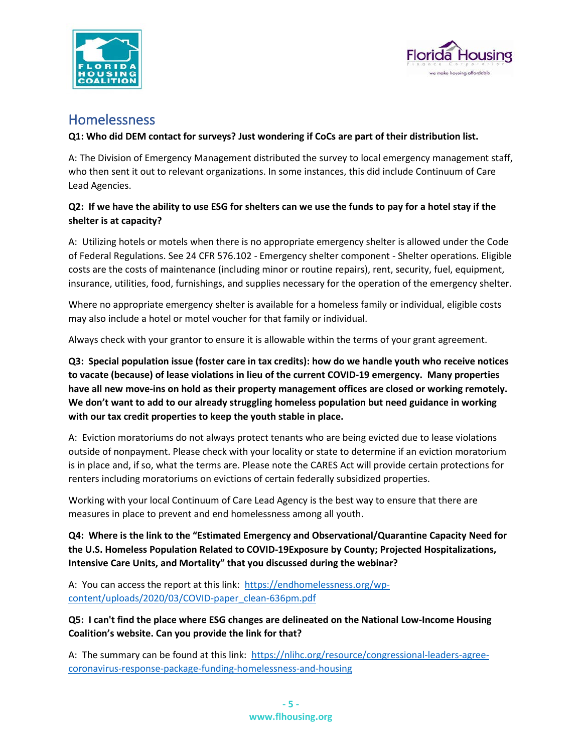



# Homelessness

#### **Q1: Who did DEM contact for surveys? Just wondering if CoCs are part of their distribution list.**

A: The Division of Emergency Management distributed the survey to local emergency management staff, who then sent it out to relevant organizations. In some instances, this did include Continuum of Care Lead Agencies.

### **Q2: If we have the ability to use ESG for shelters can we use the funds to pay for a hotel stay if the shelter is at capacity?**

A: Utilizing hotels or motels when there is no appropriate emergency shelter is allowed under the Code of Federal Regulations. See 24 CFR 576.102 - Emergency shelter component - Shelter operations. Eligible costs are the costs of maintenance (including minor or routine repairs), rent, security, fuel, equipment, insurance, utilities, food, furnishings, and supplies necessary for the operation of the emergency shelter.

Where no appropriate emergency shelter is available for a homeless family or individual, eligible costs may also include a hotel or motel voucher for that family or individual.

Always check with your grantor to ensure it is allowable within the terms of your grant agreement.

**Q3: Special population issue (foster care in tax credits): how do we handle youth who receive notices to vacate (because) of lease violations in lieu of the current COVID-19 emergency. Many properties have all new move-ins on hold as their property management offices are closed or working remotely. We don't want to add to our already struggling homeless population but need guidance in working with our tax credit properties to keep the youth stable in place.**

A: Eviction moratoriums do not always protect tenants who are being evicted due to lease violations outside of nonpayment. Please check with your locality or state to determine if an eviction moratorium is in place and, if so, what the terms are. Please note the CARES Act will provide certain protections for renters including moratoriums on evictions of certain federally subsidized properties.

Working with your local Continuum of Care Lead Agency is the best way to ensure that there are measures in place to prevent and end homelessness among all youth.

**Q4: Where is the link to the "Estimated Emergency and Observational/Quarantine Capacity Need for the U.S. Homeless Population Related to COVID-19Exposure by County; Projected Hospitalizations, Intensive Care Units, and Mortality" that you discussed during the webinar?**

A: You can access the report at this link: [https://endhomelessness.org/wp](https://endhomelessness.org/wp-content/uploads/2020/03/COVID-paper_clean-636pm.pdf)[content/uploads/2020/03/COVID-paper\\_clean-636pm.pdf](https://endhomelessness.org/wp-content/uploads/2020/03/COVID-paper_clean-636pm.pdf)

**Q5: I can't find the place where ESG changes are delineated on the National Low-Income Housing Coalition's website. Can you provide the link for that?**

A: The summary can be found at this link: [https://nlihc.org/resource/congressional-leaders-agree](https://nlihc.org/resource/congressional-leaders-agree-coronavirus-response-package-funding-homelessness-and-housing)[coronavirus-response-package-funding-homelessness-and-housing](https://nlihc.org/resource/congressional-leaders-agree-coronavirus-response-package-funding-homelessness-and-housing)